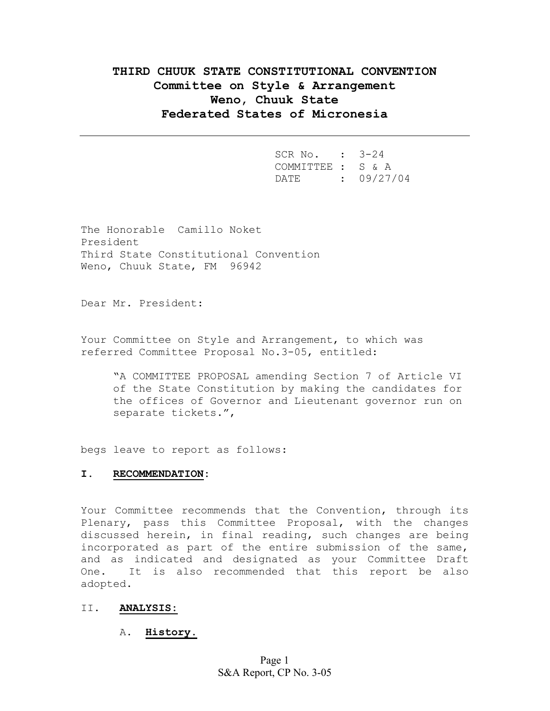# **THIRD CHUUK STATE CONSTITUTIONAL CONVENTION Committee on Style & Arrangement Weno, Chuuk State Federated States of Micronesia**

| SCR No. : 3-24    |            |
|-------------------|------------|
| COMMITTEE : S & A |            |
| DATE.             | : 09/27/04 |

The Honorable Camillo Noket President Third State Constitutional Convention Weno, Chuuk State, FM 96942

Dear Mr. President:

Your Committee on Style and Arrangement, to which was referred Committee Proposal No.3-05, entitled:

"A COMMITTEE PROPOSAL amending Section 7 of Article VI of the State Constitution by making the candidates for the offices of Governor and Lieutenant governor run on separate tickets.",

begs leave to report as follows:

#### **I. RECOMMENDATION:**

Your Committee recommends that the Convention, through its Plenary, pass this Committee Proposal, with the changes discussed herein, in final reading, such changes are being incorporated as part of the entire submission of the same, and as indicated and designated as your Committee Draft One. It is also recommended that this report be also adopted.

#### II. **ANALYSIS:**

### A. **History.**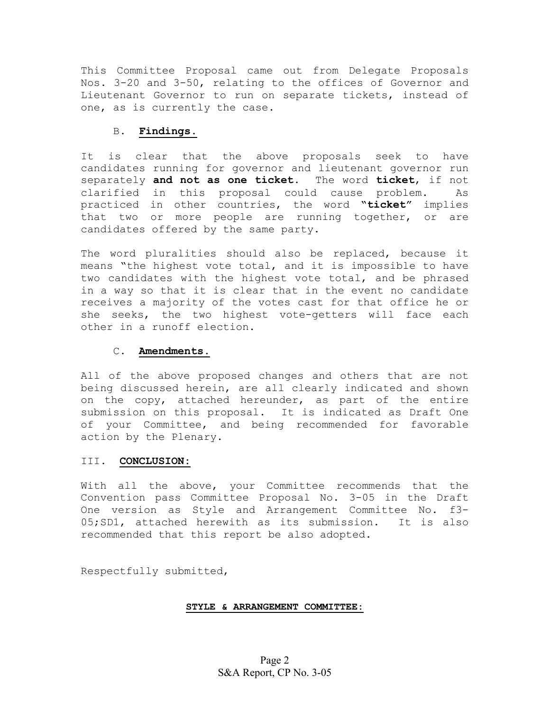This Committee Proposal came out from Delegate Proposals Nos. 3-20 and 3-50, relating to the offices of Governor and Lieutenant Governor to run on separate tickets, instead of one, as is currently the case.

### B. **Findings.**

It is clear that the above proposals seek to have candidates running for governor and lieutenant governor run separately **and not as one ticket**. The word **ticket**, if not clarified in this proposal could cause problem. As practiced in other countries, the word **"ticket"** implies that two or more people are running together, or are candidates offered by the same party.

The word pluralities should also be replaced, because it means "the highest vote total, and it is impossible to have two candidates with the highest vote total, and be phrased in a way so that it is clear that in the event no candidate receives a majority of the votes cast for that office he or she seeks, the two highest vote-getters will face each other in a runoff election.

# C. **Amendments.**

All of the above proposed changes and others that are not being discussed herein, are all clearly indicated and shown on the copy, attached hereunder, as part of the entire submission on this proposal. It is indicated as Draft One of your Committee, and being recommended for favorable action by the Plenary.

#### III. **CONCLUSION:**

With all the above, your Committee recommends that the Convention pass Committee Proposal No. 3-05 in the Draft One version as Style and Arrangement Committee No. f3- 05;SD1, attached herewith as its submission. It is also recommended that this report be also adopted.

Respectfully submitted,

# **STYLE & ARRANGEMENT COMMITTEE:**